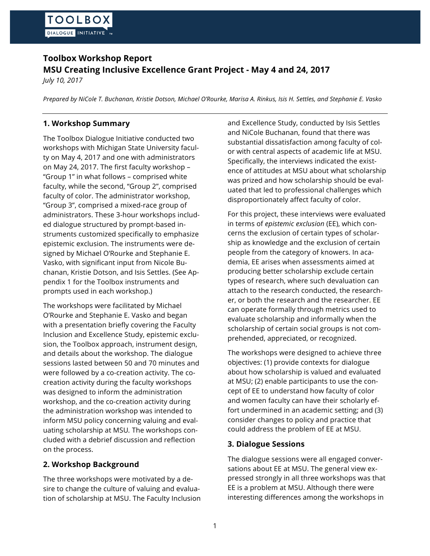# **Toolbox Workshop Report MSU Creating Inclusive Excellence Grant Project - May 4 and 24, 2017**

*July 10, 2017*

*Prepared by NiCole T. Buchanan, Kristie Dotson, Michael O'Rourke, Marisa A. Rinkus, Isis H. Settles, and Stephanie E. Vasko*

# **1. Workshop Summary**

The Toolbox Dialogue Initiative conducted two workshops with Michigan State University faculty on May 4, 2017 and one with administrators on May 24, 2017. The first faculty workshop – "Group 1" in what follows – comprised white faculty, while the second, "Group 2", comprised faculty of color. The administrator workshop, "Group 3", comprised a mixed-race group of administrators. These 3-hour workshops included dialogue structured by prompt-based instruments customized specifically to emphasize epistemic exclusion. The instruments were designed by Michael O'Rourke and Stephanie E. Vasko, with significant input from Nicole Buchanan, Kristie Dotson, and Isis Settles. (See Appendix 1 for the Toolbox instruments and prompts used in each workshop.)

The workshops were facilitated by Michael O'Rourke and Stephanie E. Vasko and began with a presentation briefly covering the Faculty Inclusion and Excellence Study, epistemic exclusion, the Toolbox approach, instrument design, and details about the workshop. The dialogue sessions lasted between 50 and 70 minutes and were followed by a co-creation activity. The cocreation activity during the faculty workshops was designed to inform the administration workshop, and the co-creation activity during the administration workshop was intended to inform MSU policy concerning valuing and evaluating scholarship at MSU*.* The workshops concluded with a debrief discussion and reflection on the process.

# **2. Workshop Background**

The three workshops were motivated by a desire to change the culture of valuing and evaluation of scholarship at MSU. The Faculty Inclusion and Excellence Study, conducted by Isis Settles and NiCole Buchanan, found that there was substantial dissatisfaction among faculty of color with central aspects of academic life at MSU. Specifically, the interviews indicated the existence of attitudes at MSU about what scholarship was prized and how scholarship should be evaluated that led to professional challenges which disproportionately affect faculty of color.

For this project, these interviews were evaluated in terms of *epistemic exclusion* (EE), which concerns the exclusion of certain types of scholarship as knowledge and the exclusion of certain people from the category of knowers. In academia, EE arises when assessments aimed at producing better scholarship exclude certain types of research, where such devaluation can attach to the research conducted, the researcher, or both the research and the researcher. EE can operate formally through metrics used to evaluate scholarship and informally when the scholarship of certain social groups is not comprehended, appreciated, or recognized.

The workshops were designed to achieve three objectives: (1) provide contexts for dialogue about how scholarship is valued and evaluated at MSU; (2) enable participants to use the concept of EE to understand how faculty of color and women faculty can have their scholarly effort undermined in an academic setting; and (3) consider changes to policy and practice that could address the problem of EE at MSU.

# **3. Dialogue Sessions**

The dialogue sessions were all engaged conversations about EE at MSU. The general view expressed strongly in all three workshops was that EE is a problem at MSU. Although there were interesting differences among the workshops in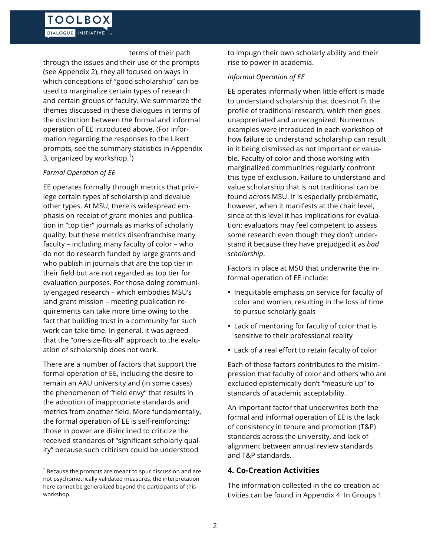#### terms of their path

through the issues and their use of the prompts (see Appendix 2), they all focused on ways in which conceptions of "good scholarship" can be used to marginalize certain types of research and certain groups of faculty. We summarize the themes discussed in these dialogues in terms of the distinction between the formal and informal operation of EE introduced above. (For information regarding the responses to the Likert prompts, see the summary statistics in Appendix 3, organized by workshop. $^{\rm 1})$ 

### *Formal Operation of EE*

EE operates formally through metrics that privilege certain types of scholarship and devalue other types. At MSU, there is widespread emphasis on receipt of grant monies and publication in "top tier" journals as marks of scholarly quality, but these metrics disenfranchise many faculty – including many faculty of color – who do not do research funded by large grants and who publish in journals that are the top tier in their field but are not regarded as top tier for evaluation purposes. For those doing community engaged research – which embodies MSU's land grant mission – meeting publication requirements can take more time owing to the fact that building trust in a community for such work can take time. In general, it was agreed that the "one-size-fits-all" approach to the evaluation of scholarship does not work.

There are a number of factors that support the formal operation of EE, including the desire to remain an AAU university and (in some cases) the phenomenon of "field envy" that results in the adoption of inappropriate standards and metrics from another field. More fundamentally, the formal operation of EE is self-reinforcing: those in power are disinclined to criticize the received standards of "significant scholarly quality" because such criticism could be understood

 

to impugn their own scholarly ability and their rise to power in academia.

### *Informal Operation of EE*

EE operates informally when little effort is made to understand scholarship that does not fit the profile of traditional research, which then goes unappreciated and unrecognized. Numerous examples were introduced in each workshop of how failure to understand scholarship can result in it being dismissed as not important or valuable. Faculty of color and those working with marginalized communities regularly confront this type of exclusion. Failure to understand and value scholarship that is not traditional can be found across MSU. It is especially problematic, however, when it manifests at the chair level, since at this level it has implications for evaluation: evaluators may feel competent to assess some research even though they don't understand it because they have prejudged it as *bad scholarship*.

Factors in place at MSU that underwrite the informal operation of EE include:

- Inequitable emphasis on service for faculty of color and women, resulting in the loss of time to pursue scholarly goals
- Lack of mentoring for faculty of color that is sensitive to their professional reality
- Lack of a real effort to retain faculty of color

Each of these factors contributes to the misimpression that faculty of color and others who are excluded epistemically don't "measure up" to standards of academic acceptability.

An important factor that underwrites both the formal and informal operation of EE is the lack of consistency in tenure and promotion (T&P) standards across the university, and lack of alignment between annual review standards and T&P standards.

## **4. Co-Creation Activities**

The information collected in the co-creation activities can be found in Appendix 4. In Groups 1

 $1$  Because the prompts are meant to spur discussion and are not psychometrically validated measures, the interpretation here cannot be generalized beyond the participants of this workshop.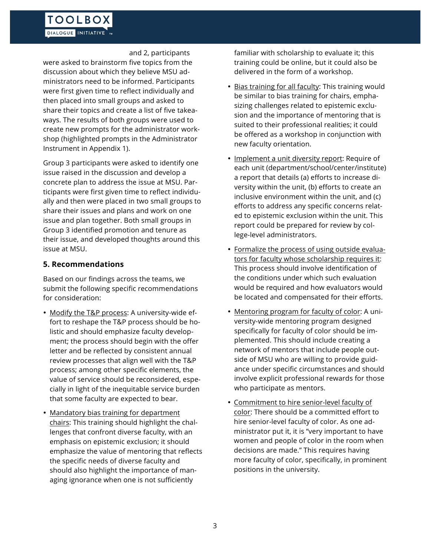and 2, participants

were asked to brainstorm five topics from the discussion about which they believe MSU administrators need to be informed. Participants were first given time to reflect individually and then placed into small groups and asked to share their topics and create a list of five takeaways. The results of both groups were used to create new prompts for the administrator workshop (highlighted prompts in the Administrator Instrument in Appendix 1).

Group 3 participants were asked to identify one issue raised in the discussion and develop a concrete plan to address the issue at MSU. Participants were first given time to reflect individually and then were placed in two small groups to share their issues and plans and work on one issue and plan together. Both small groups in Group 3 identified promotion and tenure as their issue, and developed thoughts around this issue at MSU.

## **5. Recommendations**

Based on our findings across the teams, we submit the following specific recommendations for consideration:

- Modify the T&P process: A university-wide effort to reshape the T&P process should be holistic and should emphasize faculty development; the process should begin with the offer letter and be reflected by consistent annual review processes that align well with the T&P process; among other specific elements, the value of service should be reconsidered, especially in light of the inequitable service burden that some faculty are expected to bear.
- Mandatory bias training for department chairs: This training should highlight the challenges that confront diverse faculty, with an emphasis on epistemic exclusion; it should emphasize the value of mentoring that reflects the specific needs of diverse faculty and should also highlight the importance of managing ignorance when one is not sufficiently

familiar with scholarship to evaluate it; this training could be online, but it could also be delivered in the form of a workshop.

- Bias training for all faculty: This training would be similar to bias training for chairs, emphasizing challenges related to epistemic exclusion and the importance of mentoring that is suited to their professional realities; it could be offered as a workshop in conjunction with new faculty orientation.
- Implement a unit diversity report: Require of each unit (department/school/center/institute) a report that details (a) efforts to increase diversity within the unit, (b) efforts to create an inclusive environment within the unit, and (c) efforts to address any specific concerns related to epistemic exclusion within the unit. This report could be prepared for review by college-level administrators.
- Formalize the process of using outside evaluators for faculty whose scholarship requires it: This process should involve identification of the conditions under which such evaluation would be required and how evaluators would be located and compensated for their efforts.
- Mentoring program for faculty of color: A university-wide mentoring program designed specifically for faculty of color should be implemented. This should include creating a network of mentors that include people outside of MSU who are willing to provide guidance under specific circumstances and should involve explicit professional rewards for those who participate as mentors.
- Commitment to hire senior-level faculty of color: There should be a committed effort to hire senior-level faculty of color. As one administrator put it, it is "very important to have women and people of color in the room when decisions are made." This requires having more faculty of color, specifically, in prominent positions in the university.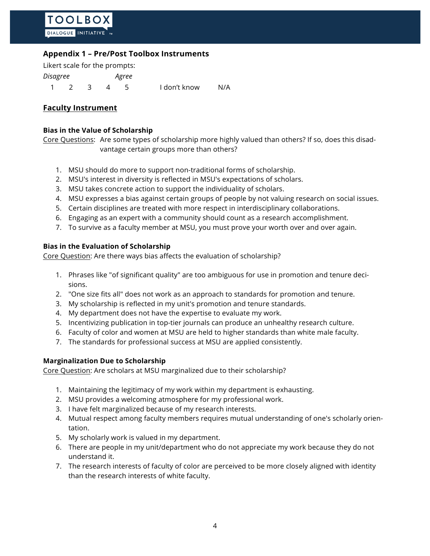## **Appendix 1 – Pre/Post Toolbox Instruments**

Likert scale for the prompts: *Disagree Agree* 1 2 3 4 5 I don't know N/A

### **Faculty Instrument**

#### **Bias in the Value of Scholarship**

Core Questions: Are some types of scholarship more highly valued than others? If so, does this disadvantage certain groups more than others?

- 1. MSU should do more to support non-traditional forms of scholarship.
- 2. MSU's interest in diversity is reflected in MSU's expectations of scholars.
- 3. MSU takes concrete action to support the individuality of scholars.
- 4. MSU expresses a bias against certain groups of people by not valuing research on social issues.
- 5. Certain disciplines are treated with more respect in interdisciplinary collaborations.
- 6. Engaging as an expert with a community should count as a research accomplishment.
- 7. To survive as a faculty member at MSU, you must prove your worth over and over again.

### **Bias in the Evaluation of Scholarship**

Core Question: Are there ways bias affects the evaluation of scholarship?

- 1. Phrases like "of significant quality" are too ambiguous for use in promotion and tenure decisions.
- 2. "One size fits all" does not work as an approach to standards for promotion and tenure.
- 3. My scholarship is reflected in my unit's promotion and tenure standards.
- 4. My department does not have the expertise to evaluate my work.
- 5. Incentivizing publication in top-tier journals can produce an unhealthy research culture.
- 6. Faculty of color and women at MSU are held to higher standards than white male faculty.
- 7. The standards for professional success at MSU are applied consistently.

### **Marginalization Due to Scholarship**

Core Question: Are scholars at MSU marginalized due to their scholarship?

- 1. Maintaining the legitimacy of my work within my department is exhausting.
- 2. MSU provides a welcoming atmosphere for my professional work.
- 3. I have felt marginalized because of my research interests.
- 4. Mutual respect among faculty members requires mutual understanding of one's scholarly orientation.
- 5. My scholarly work is valued in my department.
- 6. There are people in my unit/department who do not appreciate my work because they do not understand it.
- 7. The research interests of faculty of color are perceived to be more closely aligned with identity than the research interests of white faculty.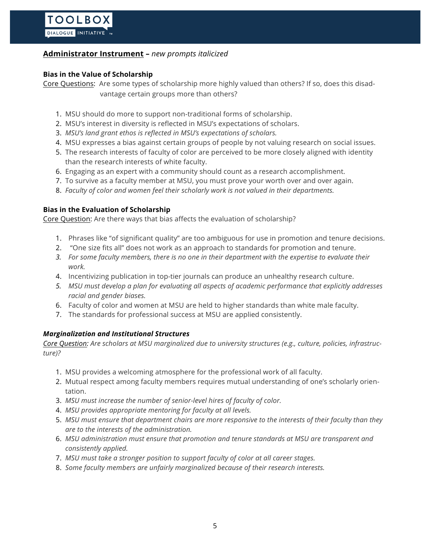## **Administrator Instrument –** *new prompts italicized*

### **Bias in the Value of Scholarship**

Core Questions: Are some types of scholarship more highly valued than others? If so, does this disadvantage certain groups more than others?

- 1. MSU should do more to support non-traditional forms of scholarship.
- 2. MSU's interest in diversity is reflected in MSU's expectations of scholars.
- 3. *MSU's land grant ethos is reflected in MSU's expectations of scholars.*
- 4. MSU expresses a bias against certain groups of people by not valuing research on social issues.
- 5. The research interests of faculty of color are perceived to be more closely aligned with identity than the research interests of white faculty.
- 6. Engaging as an expert with a community should count as a research accomplishment.
- 7. To survive as a faculty member at MSU, you must prove your worth over and over again.
- 8. *Faculty of color and women feel their scholarly work is not valued in their departments.*

### **Bias in the Evaluation of Scholarship**

Core Question: Are there ways that bias affects the evaluation of scholarship?

- 1. Phrases like "of significant quality" are too ambiguous for use in promotion and tenure decisions.
- 2. "One size fits all" does not work as an approach to standards for promotion and tenure.
- *3. For some faculty members, there is no one in their department with the expertise to evaluate their work.*
- 4. Incentivizing publication in top-tier journals can produce an unhealthy research culture.
- *5. MSU must develop a plan for evaluating all aspects of academic performance that explicitly addresses racial and gender biases.*
- 6. Faculty of color and women at MSU are held to higher standards than white male faculty.
- 7. The standards for professional success at MSU are applied consistently.

## *Marginalization and Institutional Structures*

*Core Question: Are scholars at MSU marginalized due to university structures (e.g., culture, policies, infrastructure)?*

- 1. MSU provides a welcoming atmosphere for the professional work of all faculty.
- 2. Mutual respect among faculty members requires mutual understanding of one's scholarly orientation.
- 3. *MSU must increase the number of senior-level hires of faculty of color.*
- 4. *MSU provides appropriate mentoring for faculty at all levels.*
- 5. *MSU must ensure that department chairs are more responsive to the interests of their faculty than they are to the interests of the administration.*
- 6. *MSU administration must ensure that promotion and tenure standards at MSU are transparent and consistently applied.*
- 7. *MSU must take a stronger position to support faculty of color at all career stages.*
- 8. *Some faculty members are unfairly marginalized because of their research interests.*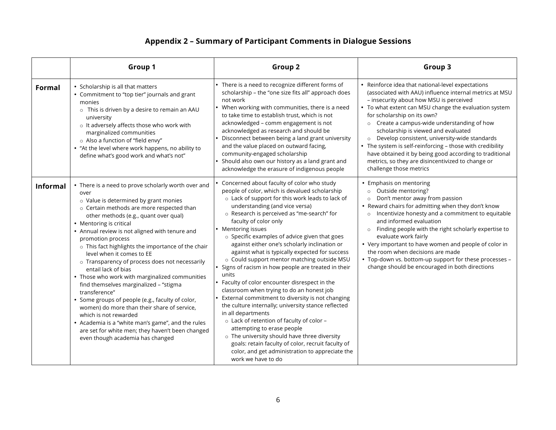# **Appendix 2 – Summary of Participant Comments in Dialogue Sessions**

|                 | Group 1                                                                                                                                                                                                                                                                                                                                                                                                                                                                                                                                                                                                                                                                                                                                                                                                                                        | Group <sub>2</sub>                                                                                                                                                                                                                                                                                                                                                                                                                                                                                                                                                                                                                                                                                                                                                                                                                                                                                                                                                                                                                        | Group 3                                                                                                                                                                                                                                                                                                                                                                                                                                                                                                                                                                                          |
|-----------------|------------------------------------------------------------------------------------------------------------------------------------------------------------------------------------------------------------------------------------------------------------------------------------------------------------------------------------------------------------------------------------------------------------------------------------------------------------------------------------------------------------------------------------------------------------------------------------------------------------------------------------------------------------------------------------------------------------------------------------------------------------------------------------------------------------------------------------------------|-------------------------------------------------------------------------------------------------------------------------------------------------------------------------------------------------------------------------------------------------------------------------------------------------------------------------------------------------------------------------------------------------------------------------------------------------------------------------------------------------------------------------------------------------------------------------------------------------------------------------------------------------------------------------------------------------------------------------------------------------------------------------------------------------------------------------------------------------------------------------------------------------------------------------------------------------------------------------------------------------------------------------------------------|--------------------------------------------------------------------------------------------------------------------------------------------------------------------------------------------------------------------------------------------------------------------------------------------------------------------------------------------------------------------------------------------------------------------------------------------------------------------------------------------------------------------------------------------------------------------------------------------------|
| Formal          | • Scholarship is all that matters<br>• Commitment to "top tier" journals and grant<br>monies<br>o This is driven by a desire to remain an AAU<br>university<br>o It adversely affects those who work with<br>marginalized communities<br>o Also a function of "field envy"<br>• "At the level where work happens, no ability to<br>define what's good work and what's not"                                                                                                                                                                                                                                                                                                                                                                                                                                                                     | • There is a need to recognize different forms of<br>scholarship - the "one size fits all" approach does<br>not work<br>• When working with communities, there is a need<br>to take time to establish trust, which is not<br>acknowledged - comm engagement is not<br>acknowledged as research and should be<br>Disconnect between being a land grant university<br>and the value placed on outward facing,<br>community-engaged scholarship<br>Should also own our history as a land grant and<br>acknowledge the erasure of indigenous people                                                                                                                                                                                                                                                                                                                                                                                                                                                                                           | • Reinforce idea that national-level expectations<br>(associated with AAU) influence internal metrics at MSU<br>- insecurity about how MSU is perceived<br>• To what extent can MSU change the evaluation system<br>for scholarship on its own?<br>o Create a campus-wide understanding of how<br>scholarship is viewed and evaluated<br>o Develop consistent, university-wide standards<br>• The system is self-reinforcing - those with credibility<br>have obtained it by being good according to traditional<br>metrics, so they are disincentivized to change or<br>challenge those metrics |
| <b>Informal</b> | • There is a need to prove scholarly worth over and<br>over<br>o Value is determined by grant monies<br>o Certain methods are more respected than<br>other methods (e.g., quant over qual)<br>• Mentoring is critical<br>• Annual review is not aligned with tenure and<br>promotion process<br>o This fact highlights the importance of the chair<br>level when it comes to EE<br>o Transparency of process does not necessarily<br>entail lack of bias<br>• Those who work with marginalized communities<br>find themselves marginalized - "stigma<br>transference"<br>• Some groups of people (e.g., faculty of color,<br>women) do more than their share of service,<br>which is not rewarded<br>• Academia is a "white man's game", and the rules<br>are set for white men; they haven't been changed<br>even though academia has changed | Concerned about faculty of color who study<br>people of color, which is devalued scholarship<br>o Lack of support for this work leads to lack of<br>understanding (and vice versa)<br>o Research is perceived as "me-search" for<br>faculty of color only<br>• Mentoring issues<br>o Specific examples of advice given that goes<br>against either one's scholarly inclination or<br>against what is typically expected for success<br>o Could support mentor matching outside MSU<br>Signs of racism in how people are treated in their<br>units<br>Faculty of color encounter disrespect in the<br>classroom when trying to do an honest job<br>External commitment to diversity is not changing<br>the culture internally; university stance reflected<br>in all departments<br>o Lack of retention of faculty of color -<br>attempting to erase people<br>o The university should have three diversity<br>goals: retain faculty of color, recruit faculty of<br>color, and get administration to appreciate the<br>work we have to do | • Emphasis on mentoring<br>Outside mentoring?<br>$\circ$<br>Don't mentor away from passion<br>• Reward chairs for admitting when they don't know<br>Incentivize honesty and a commitment to equitable<br>$\circ$<br>and informed evaluation<br>o Finding people with the right scholarly expertise to<br>evaluate work fairly<br>• Very important to have women and people of color in<br>the room when decisions are made<br>• Top-down vs. bottom-up support for these processes -<br>change should be encouraged in both directions                                                           |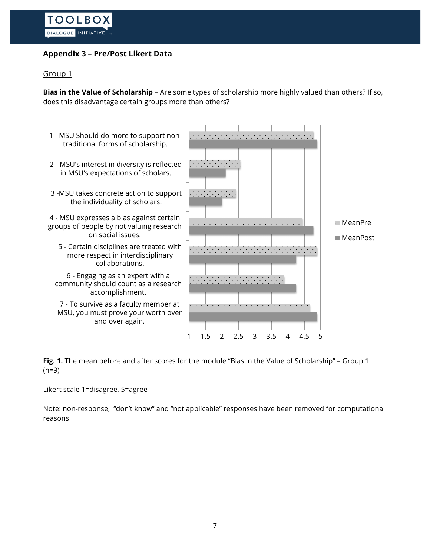# **Appendix 3 – Pre/Post Likert Data**

## Group 1

**Bias in the Value of Scholarship** – Are some types of scholarship more highly valued than others? If so, does this disadvantage certain groups more than others?



**Fig. 1.** The mean before and after scores for the module "Bias in the Value of Scholarship" – Group 1  $(n=9)$ 

Likert scale 1=disagree, 5=agree

Note: non-response, "don't know" and "not applicable" responses have been removed for computational reasons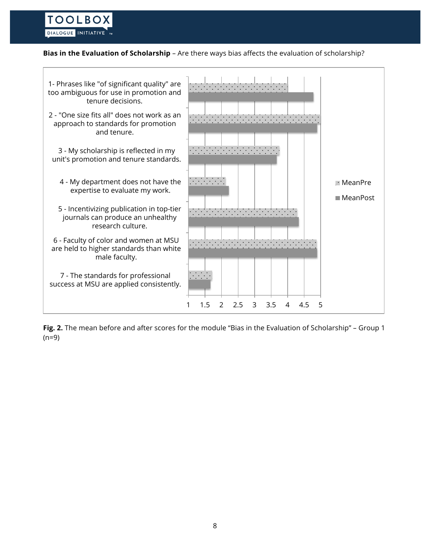#### **Bias in the Evaluation of Scholarship** – Are there ways bias affects the evaluation of scholarship?



**Fig. 2.** The mean before and after scores for the module "Bias in the Evaluation of Scholarship" – Group 1  $(n=9)$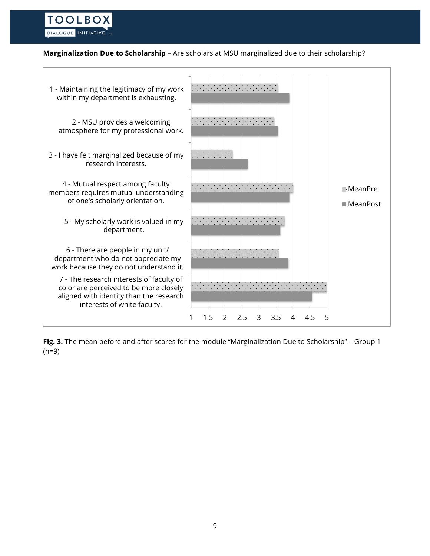### **Marginalization Due to Scholarship** – Are scholars at MSU marginalized due to their scholarship?



**Fig. 3.** The mean before and after scores for the module "Marginalization Due to Scholarship" – Group 1  $(n=9)$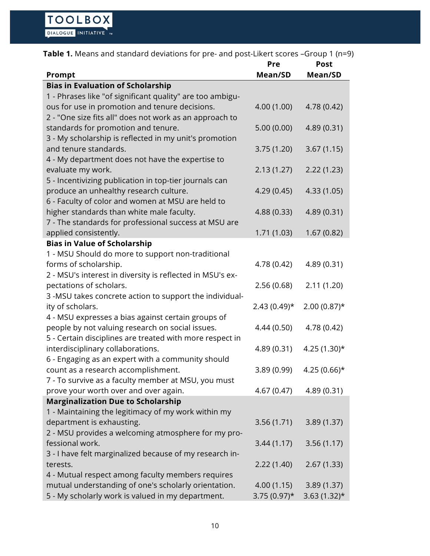|  |  | <b>Table 1.</b> Means and standard deviations for pre- and post-Likert scores -Group 1 (n=9) |
|--|--|----------------------------------------------------------------------------------------------|
|--|--|----------------------------------------------------------------------------------------------|

|                                                           | Pre            | <b>Post</b>     |
|-----------------------------------------------------------|----------------|-----------------|
| Prompt                                                    | Mean/SD        | Mean/SD         |
| <b>Bias in Evaluation of Scholarship</b>                  |                |                 |
| 1 - Phrases like "of significant quality" are too ambigu- |                |                 |
| ous for use in promotion and tenure decisions.            | 4.00 (1.00)    | 4.78 (0.42)     |
| 2 - "One size fits all" does not work as an approach to   |                |                 |
| standards for promotion and tenure.                       | 5.00(0.00)     | 4.89 (0.31)     |
| 3 - My scholarship is reflected in my unit's promotion    |                |                 |
| and tenure standards.                                     | 3.75(1.20)     | 3.67(1.15)      |
| 4 - My department does not have the expertise to          |                |                 |
| evaluate my work.                                         | 2.13(1.27)     | 2.22(1.23)      |
| 5 - Incentivizing publication in top-tier journals can    |                |                 |
| produce an unhealthy research culture.                    | 4.29(0.45)     | 4.33 (1.05)     |
| 6 - Faculty of color and women at MSU are held to         |                |                 |
| higher standards than white male faculty.                 | 4.88 (0.33)    | 4.89 (0.31)     |
| 7 - The standards for professional success at MSU are     |                |                 |
| applied consistently.                                     | 1.71 (1.03)    | 1.67(0.82)      |
| <b>Bias in Value of Scholarship</b>                       |                |                 |
| 1 - MSU Should do more to support non-traditional         |                |                 |
| forms of scholarship.                                     | 4.78 (0.42)    | 4.89 (0.31)     |
| 2 - MSU's interest in diversity is reflected in MSU's ex- |                |                 |
| pectations of scholars.                                   | 2.56(0.68)     | 2.11(1.20)      |
| 3 -MSU takes concrete action to support the individual-   |                |                 |
| ity of scholars.                                          | $2.43(0.49)$ * | $2.00(0.87)$ *  |
| 4 - MSU expresses a bias against certain groups of        |                |                 |
| people by not valuing research on social issues.          | 4.44 (0.50)    | 4.78 (0.42)     |
| 5 - Certain disciplines are treated with more respect in  |                |                 |
| interdisciplinary collaborations.                         | 4.89 (0.31)    | $4.25(1.30)*$   |
| 6 - Engaging as an expert with a community should         |                |                 |
| count as a research accomplishment.                       | 3.89 (0.99)    | 4.25 $(0.66)$ * |
| 7 - To survive as a faculty member at MSU, you must       |                |                 |
| prove your worth over and over again.                     | 4.67(0.47)     | 4.89 (0.31)     |
| <b>Marginalization Due to Scholarship</b>                 |                |                 |
| 1 - Maintaining the legitimacy of my work within my       |                |                 |
| department is exhausting.                                 | 3.56(1.71)     | 3.89(1.37)      |
| 2 - MSU provides a welcoming atmosphere for my pro-       |                |                 |
| fessional work.                                           | 3.44(1.17)     | 3.56(1.17)      |
| 3 - I have felt marginalized because of my research in-   |                |                 |
| terests.                                                  | 2.22(1.40)     | 2.67(1.33)      |
| 4 - Mutual respect among faculty members requires         |                |                 |
| mutual understanding of one's scholarly orientation.      | 4.00(1.15)     | 3.89(1.37)      |
| 5 - My scholarly work is valued in my department.         | $3.75(0.97)^*$ | $3.63(1.32)$ *  |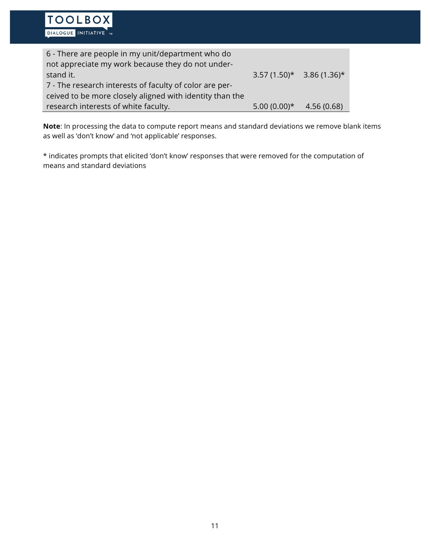**TOOLBOX** 

**Note**: In processing the data to compute report means and standard deviations we remove blank items as well as 'don't know' and 'not applicable' responses.

\* indicates prompts that elicited 'don't know' responses that were removed for the computation of means and standard deviations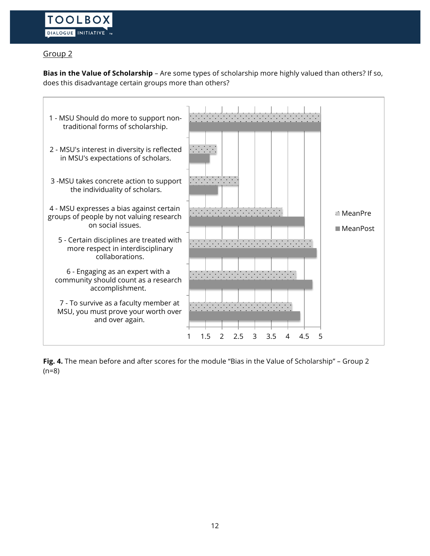# Group 2

**Bias in the Value of Scholarship** – Are some types of scholarship more highly valued than others? If so, does this disadvantage certain groups more than others?



**Fig. 4.** The mean before and after scores for the module "Bias in the Value of Scholarship" – Group 2 (n=8)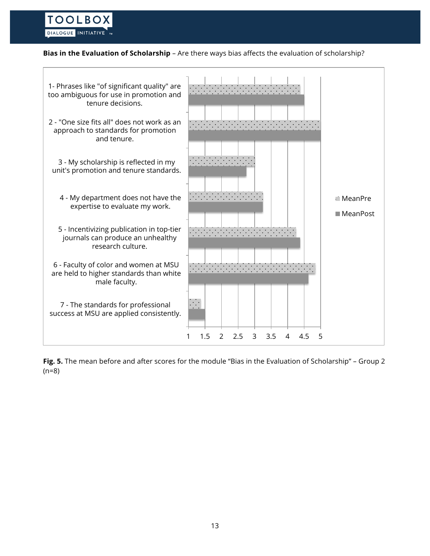#### **Bias in the Evaluation of Scholarship** – Are there ways bias affects the evaluation of scholarship?



**Fig. 5.** The mean before and after scores for the module "Bias in the Evaluation of Scholarship" – Group 2 (n=8)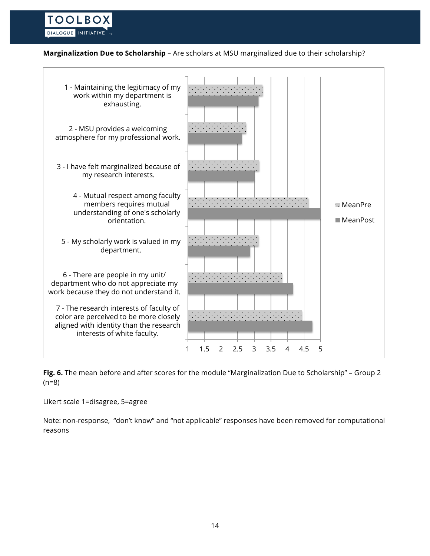### **Marginalization Due to Scholarship** – Are scholars at MSU marginalized due to their scholarship?



**Fig. 6.** The mean before and after scores for the module "Marginalization Due to Scholarship" – Group 2 (n=8)

Likert scale 1=disagree, 5=agree

Note: non-response, "don't know" and "not applicable" responses have been removed for computational reasons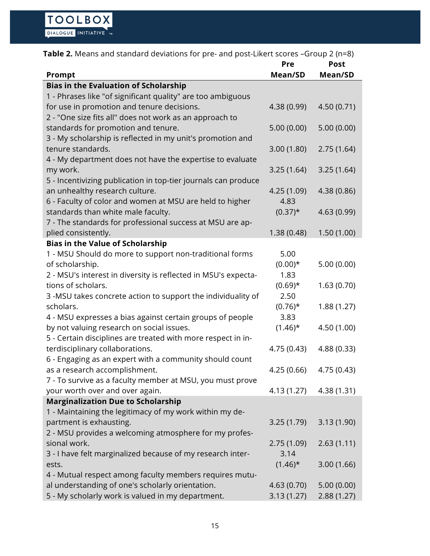| Table 2. Means and standard deviations for pre- and post-Likert scores -Group 2 (n=8) |                |                        |
|---------------------------------------------------------------------------------------|----------------|------------------------|
| Prompt                                                                                | Pre<br>Mean/SD | <b>Post</b><br>Mean/SD |
| <b>Bias in the Evaluation of Scholarship</b>                                          |                |                        |
| 1 - Phrases like "of significant quality" are too ambiguous                           |                |                        |
| for use in promotion and tenure decisions.                                            | 4.38 (0.99)    | 4.50(0.71)             |
| 2 - "One size fits all" does not work as an approach to                               |                |                        |
| standards for promotion and tenure.                                                   | 5.00(0.00)     | 5.00(0.00)             |
| 3 - My scholarship is reflected in my unit's promotion and                            |                |                        |
| tenure standards.                                                                     | 3.00(1.80)     | 2.75(1.64)             |
| 4 - My department does not have the expertise to evaluate                             |                |                        |
| my work.                                                                              | 3.25(1.64)     | 3.25(1.64)             |
| 5 - Incentivizing publication in top-tier journals can produce                        |                |                        |
| an unhealthy research culture.                                                        | 4.25 (1.09)    | 4.38 (0.86)            |
| 6 - Faculty of color and women at MSU are held to higher                              | 4.83           |                        |
| standards than white male faculty.                                                    | $(0.37)^*$     | 4.63 (0.99)            |
| 7 - The standards for professional success at MSU are ap-                             |                |                        |
| plied consistently.                                                                   | 1.38(0.48)     | 1.50(1.00)             |
| <b>Bias in the Value of Scholarship</b>                                               |                |                        |
| 1 - MSU Should do more to support non-traditional forms                               | 5.00           |                        |
| of scholarship.                                                                       | $(0.00)*$      | 5.00(0.00)             |
| 2 - MSU's interest in diversity is reflected in MSU's expecta-                        | 1.83           |                        |
| tions of scholars.                                                                    | $(0.69)$ *     | 1.63(0.70)             |
| 3 -MSU takes concrete action to support the individuality of                          | 2.50           |                        |
| scholars.                                                                             | $(0.76)$ *     | 1.88(1.27)             |
| 4 - MSU expresses a bias against certain groups of people                             | 3.83           |                        |
| by not valuing research on social issues.                                             | $(1.46)$ *     | 4.50 (1.00)            |
| 5 - Certain disciplines are treated with more respect in in-                          |                |                        |
| terdisciplinary collaborations.                                                       | 4.75 (0.43)    | 4.88 (0.33)            |
| 6 - Engaging as an expert with a community should count                               |                |                        |
| as a research accomplishment.                                                         | 4.25(0.66)     | 4.75(0.43)             |
| 7 - To survive as a faculty member at MSU, you must prove                             |                |                        |
| your worth over and over again.                                                       | 4.13 (1.27)    | 4.38(1.31)             |
| <b>Marginalization Due to Scholarship</b>                                             |                |                        |
| 1 - Maintaining the legitimacy of my work within my de-                               |                |                        |
| partment is exhausting.                                                               | 3.25(1.79)     | 3.13(1.90)             |
| 2 - MSU provides a welcoming atmosphere for my profes-                                |                |                        |
| sional work.                                                                          | 2.75(1.09)     | 2.63(1.11)             |
| 3 - I have felt marginalized because of my research inter-                            | 3.14           |                        |
| ests.                                                                                 | $(1.46)$ *     | 3.00(1.66)             |
| 4 - Mutual respect among faculty members requires mutu-                               |                |                        |
| al understanding of one's scholarly orientation.                                      | 4.63(0.70)     | 5.00(0.00)             |
| 5 - My scholarly work is valued in my department.                                     | 3.13(1.27)     | 2.88(1.27)             |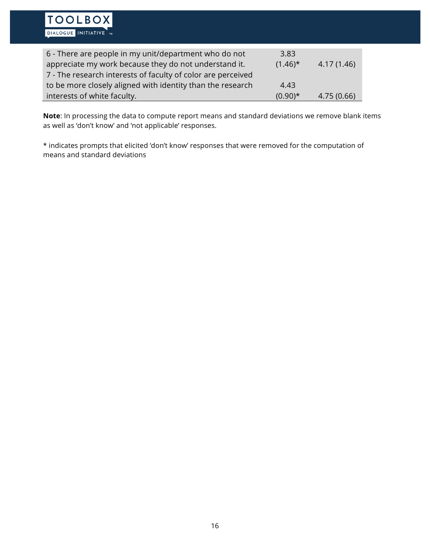**Note**: In processing the data to compute report means and standard deviations we remove blank items as well as 'don't know' and 'not applicable' responses.

\* indicates prompts that elicited 'don't know' responses that were removed for the computation of means and standard deviations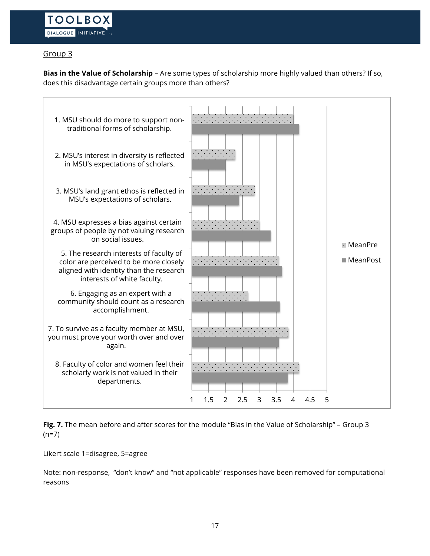## Group 3

**Bias in the Value of Scholarship** – Are some types of scholarship more highly valued than others? If so, does this disadvantage certain groups more than others?



**Fig. 7.** The mean before and after scores for the module "Bias in the Value of Scholarship" – Group 3  $(n=7)$ 

Likert scale 1=disagree, 5=agree

Note: non-response, "don't know" and "not applicable" responses have been removed for computational reasons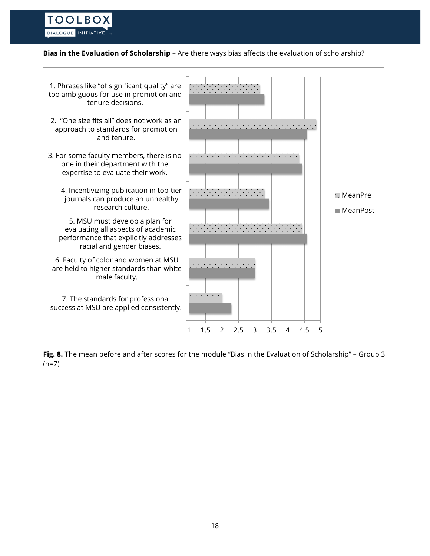## **Bias in the Evaluation of Scholarship** – Are there ways bias affects the evaluation of scholarship?

**TOOLBOX** DIALOGUE INITIATIVE M



**Fig. 8.** The mean before and after scores for the module "Bias in the Evaluation of Scholarship" – Group 3  $(n=7)$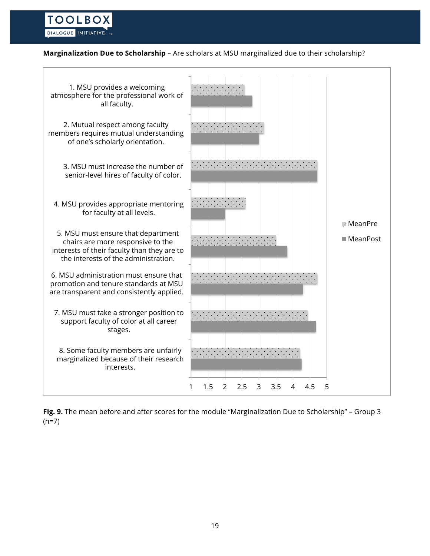### **Marginalization Due to Scholarship** – Are scholars at MSU marginalized due to their scholarship?



**Fig. 9.** The mean before and after scores for the module "Marginalization Due to Scholarship" – Group 3  $(n=7)$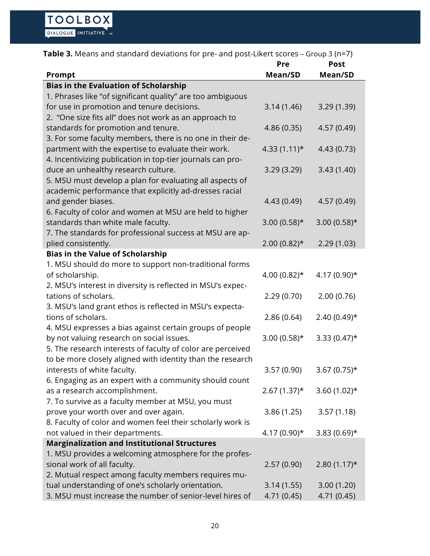| Table 3. Means and standard deviations for pre- and post-Likert scores - Group 3 (n=7)                        |                 |                |  |
|---------------------------------------------------------------------------------------------------------------|-----------------|----------------|--|
|                                                                                                               | Pre             | <b>Post</b>    |  |
| Prompt                                                                                                        | Mean/SD         | Mean/SD        |  |
| <b>Bias in the Evaluation of Scholarship</b>                                                                  |                 |                |  |
| 1. Phrases like "of significant quality" are too ambiguous                                                    |                 |                |  |
| for use in promotion and tenure decisions.                                                                    | 3.14(1.46)      | 3.29(1.39)     |  |
| 2. "One size fits all" does not work as an approach to                                                        |                 |                |  |
| standards for promotion and tenure.                                                                           | 4.86 (0.35)     | 4.57 (0.49)    |  |
| 3. For some faculty members, there is no one in their de-                                                     |                 |                |  |
| partment with the expertise to evaluate their work.                                                           | $4.33(1.11)*$   | 4.43 (0.73)    |  |
| 4. Incentivizing publication in top-tier journals can pro-                                                    |                 |                |  |
| duce an unhealthy research culture.                                                                           | 3.29(3.29)      | 3.43(1.40)     |  |
| 5. MSU must develop a plan for evaluating all aspects of                                                      |                 |                |  |
| academic performance that explicitly ad-dresses racial                                                        |                 |                |  |
| and gender biases.                                                                                            | 4.43 (0.49)     | 4.57 (0.49)    |  |
| 6. Faculty of color and women at MSU are held to higher                                                       |                 |                |  |
| standards than white male faculty.                                                                            | $3.00(0.58)$ *  | $3.00(0.58)$ * |  |
| 7. The standards for professional success at MSU are ap-                                                      |                 |                |  |
| plied consistently.                                                                                           | $2.00(0.82)$ *  | 2.29(1.03)     |  |
| <b>Bias in the Value of Scholarship</b>                                                                       |                 |                |  |
| 1. MSU should do more to support non-traditional forms                                                        |                 |                |  |
| of scholarship.                                                                                               | 4.00 $(0.82)$ * | $4.17(0.90)*$  |  |
| 2. MSU's interest in diversity is reflected in MSU's expec-                                                   |                 |                |  |
| tations of scholars.                                                                                          | 2.29(0.70)      | 2.00(0.76)     |  |
| 3. MSU's land grant ethos is reflected in MSU's expecta-                                                      |                 |                |  |
| tions of scholars.                                                                                            | 2.86(0.64)      | $2.40(0.49)$ * |  |
| 4. MSU expresses a bias against certain groups of people                                                      |                 |                |  |
| by not valuing research on social issues.                                                                     | $3.00(0.58)$ *  | $3.33(0.47)$ * |  |
| 5. The research interests of faculty of color are perceived                                                   |                 |                |  |
| to be more closely aligned with identity than the research                                                    |                 |                |  |
| interests of white faculty.                                                                                   | 3.57(0.90)      | $3.67(0.75)$ * |  |
| 6. Engaging as an expert with a community should count                                                        |                 |                |  |
| as a research accomplishment.                                                                                 | $2.67(1.37)^*$  | 3.60 $(1.02)*$ |  |
| 7. To survive as a faculty member at MSU, you must                                                            |                 |                |  |
| prove your worth over and over again.                                                                         | 3.86(1.25)      | 3.57(1.18)     |  |
| 8. Faculty of color and women feel their scholarly work is                                                    |                 |                |  |
| not valued in their departments.                                                                              | $4.17(0.90)*$   | $3.83(0.69)$ * |  |
| <b>Marginalization and Institutional Structures</b><br>1. MSU provides a welcoming atmosphere for the profes- |                 |                |  |
| sional work of all faculty.                                                                                   | 2.57(0.90)      | $2.80(1.17)$ * |  |
| 2. Mutual respect among faculty members requires mu-                                                          |                 |                |  |
| tual understanding of one's scholarly orientation.                                                            | 3.14(1.55)      | 3.00(1.20)     |  |
|                                                                                                               |                 |                |  |
| 3. MSU must increase the number of senior-level hires of                                                      | 4.71 (0.45)     | 4.71 (0.45)    |  |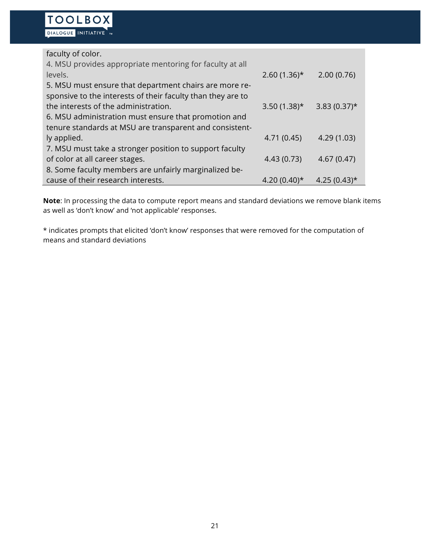faculty of color. 4. MSU provides appropriate mentoring for faculty at all levels. 2.60 (1.36)\* 2.00 (0.76) 5. MSU must ensure that department chairs are more responsive to the interests of their faculty than they are to the interests of the administration.  $3.50 (1.38)^*$   $3.83 (0.37)^*$ 6. MSU administration must ensure that promotion and tenure standards at MSU are transparent and consistently applied. 4.71 (0.45) 4.29 (1.03) 7. MSU must take a stronger position to support faculty of color at all career stages. 4.43 (0.73) 4.67 (0.47) 8. Some faculty members are unfairly marginalized because of their research interests.  $4.20(0.40)*$   $4.25(0.43)*$ 

**Note**: In processing the data to compute report means and standard deviations we remove blank items as well as 'don't know' and 'not applicable' responses.

\* indicates prompts that elicited 'don't know' responses that were removed for the computation of means and standard deviations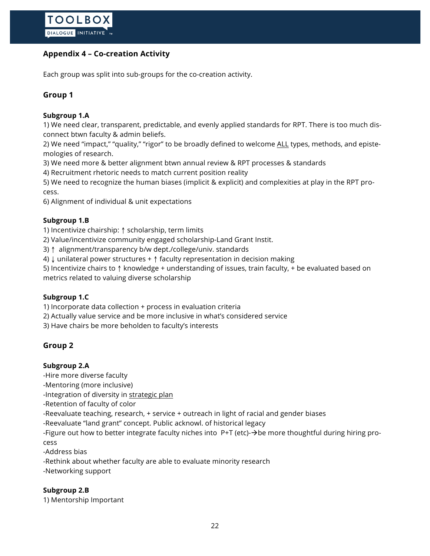# **Appendix 4 – Co-creation Activity**

Each group was split into sub-groups for the co-creation activity.

# **Group 1**

## **Subgroup 1.A**

1) We need clear, transparent, predictable, and evenly applied standards for RPT. There is too much disconnect btwn faculty & admin beliefs.

2) We need "impact," "quality," "rigor" to be broadly defined to welcome ALL types, methods, and epistemologies of research.

3) We need more & better alignment btwn annual review & RPT processes & standards

4) Recruitment rhetoric needs to match current position reality

5) We need to recognize the human biases (implicit & explicit) and complexities at play in the RPT process.

6) Alignment of individual & unit expectations

### **Subgroup 1.B**

1) Incentivize chairship: ↑ scholarship, term limits

2) Value/incentivize community engaged scholarship-Land Grant Instit.

3) ↑ alignment/transparency b/w dept./college/univ. standards

4) ↓ unilateral power structures + ↑ faculty representation in decision making

5) Incentivize chairs to ↑ knowledge + understanding of issues, train faculty, + be evaluated based on metrics related to valuing diverse scholarship

## **Subgroup 1.C**

1) Incorporate data collection + process in evaluation criteria

2) Actually value service and be more inclusive in what's considered service

3) Have chairs be more beholden to faculty's interests

## **Group 2**

### **Subgroup 2.A**

-Hire more diverse faculty

-Mentoring (more inclusive)

-Integration of diversity in strategic plan

-Retention of faculty of color

-Reevaluate teaching, research, + service + outreach in light of racial and gender biases

-Reevaluate "land grant" concept. Public acknowl. of historical legacy

-Figure out how to better integrate faculty niches into  $P+T$  (etc)- $\rightarrow$ be more thoughtful during hiring process

-Address bias

-Rethink about whether faculty are able to evaluate minority research

-Networking support

## **Subgroup 2.B**

1) Mentorship Important